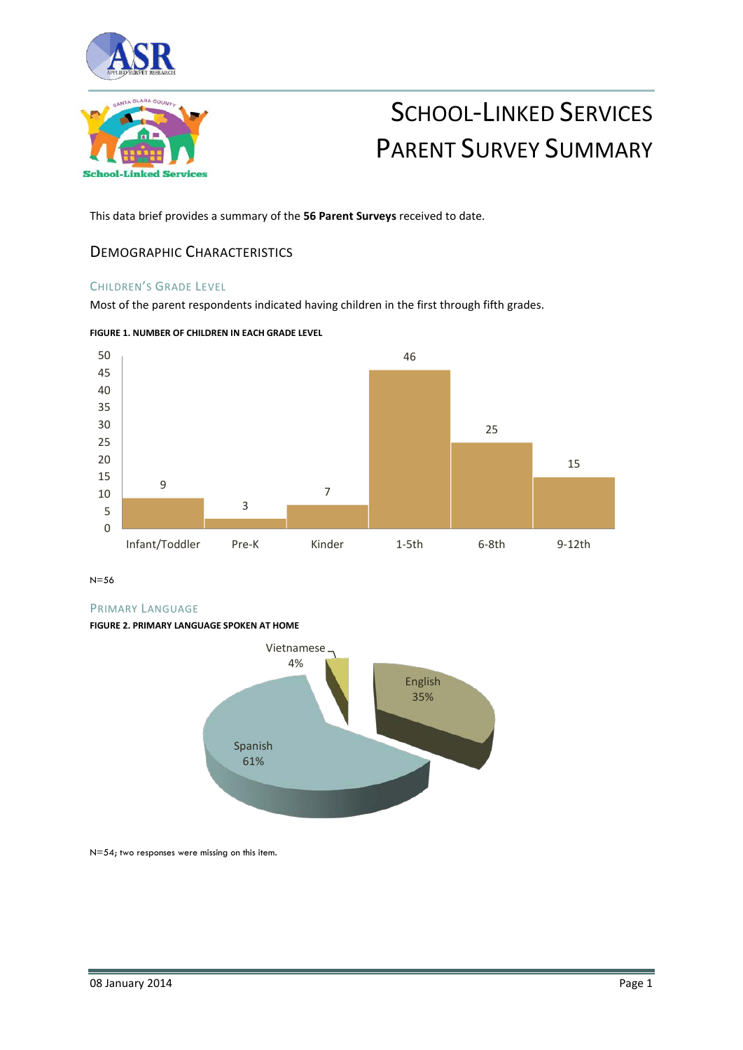



# SCHOOL-LINKED SERVICES PARENT SURVEY SUMMARY

This data brief provides a summary of the **56 Parent Surveys** received to date.

### DEMOGRAPHIC CHARACTERISTICS

#### CHILDREN'S GRADE LEVEL

Most of the parent respondents indicated having children in the first through fifth grades.



**FIGURE 1. NUMBER OF CHILDREN IN EACH GRADE LEVEL**

N=56

#### PRIMARY LANGUAGE

#### **FIGURE 2. PRIMARY LANGUAGE SPOKEN AT HOME**



N=54; two responses were missing on this item.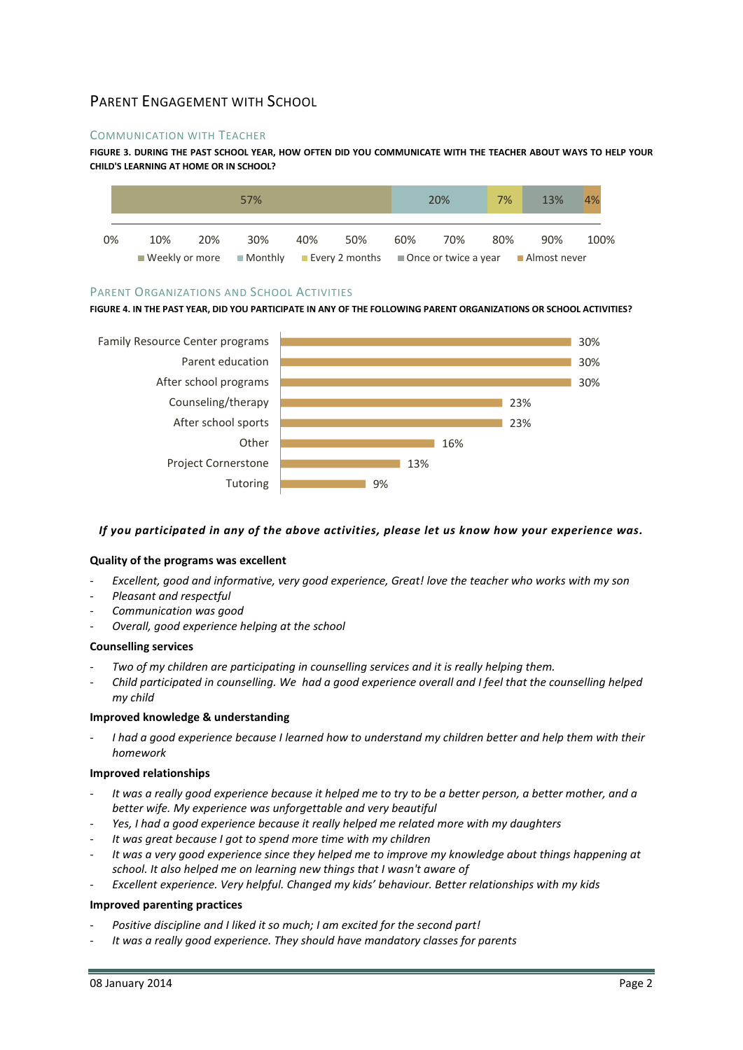# PARENT ENGAGEMENT WITH SCHOOL

#### COMMUNICATION WITH TEACHER

**FIGURE 3. DURING THE PAST SCHOOL YEAR, HOW OFTEN DID YOU COMMUNICATE WITH THE TEACHER ABOUT WAYS TO HELP YOUR CHILD'S LEARNING AT HOME OR IN SCHOOL?**



#### PARENT ORGANIZATIONS AND SCHOOL ACTIVITIES

**FIGURE 4. IN THE PAST YEAR, DID YOU PARTICIPATE IN ANY OF THE FOLLOWING PARENT ORGANIZATIONS OR SCHOOL ACTIVITIES?**



#### *If you participated in any of the above activities, please let us know how your experience was.*

#### **Quality of the programs was excellent**

- Excellent, good and informative, very good experience, Great! love the teacher who works with my son
- *Pleasant and respectful*
- *Communication was good*
- *Overall, good experience helping at the school*

#### **Counselling services**

- *Two of my children are participating in counselling services and it is really helping them.*
- *Child participated in counselling. We had a good experience overall and I feel that the counselling helped my child*

#### **Improved knowledge & understanding**

- *I had a good experience because I learned how to understand my children better and help them with their homework* 

#### **Improved relationships**

- *It was a really good experience because it helped me to try to be a better person, a better mother, and a better wife. My experience was unforgettable and very beautiful*
- *Yes, I had a good experience because it really helped me related more with my daughters*
- *It was great because I got to spend more time with my children*
- *It was a very good experience since they helped me to improve my knowledge about things happening at school. It also helped me on learning new things that I wasn't aware of*
- *Excellent experience. Very helpful. Changed my kids' behaviour. Better relationships with my kids*

#### **Improved parenting practices**

- Positive discipline and I liked it so much; I am excited for the second part!
- *It was a really good experience. They should have mandatory classes for parents*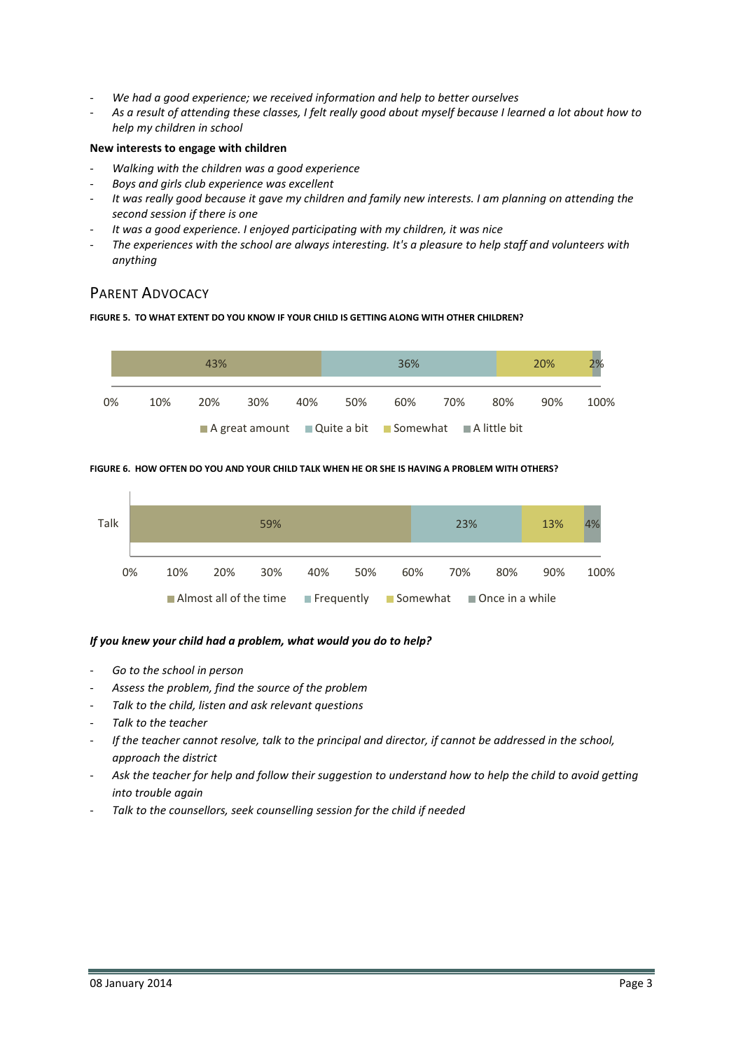- *We had a good experience; we received information and help to better ourselves*
- *As a result of attending these classes, I felt really good about myself because I learned a lot about how to help my children in school*

#### **New interests to engage with children**

- *Walking with the children was a good experience*
- *Boys and girls club experience was excellent*
- *It was really good because it gave my children and family new interests. I am planning on attending the second session if there is one*
- It was a good experience. I enjoyed participating with my children, it was nice
- *The experiences with the school are always interesting. It's a pleasure to help staff and volunteers with anything*

## PARENT ADVOCACY

#### **FIGURE 5. TO WHAT EXTENT DO YOU KNOW IF YOUR CHILD IS GETTING ALONG WITH OTHER CHILDREN?**



#### **FIGURE 6. HOW OFTEN DO YOU AND YOUR CHILD TALK WHEN HE OR SHE IS HAVING A PROBLEM WITH OTHERS?**



#### *If you knew your child had a problem, what would you do to help?*

- *Go to the school in person*
- Assess the problem, find the source of the problem
- Talk to the child, listen and ask relevant questions
- *Talk to the teacher*
- *If the teacher cannot resolve, talk to the principal and director, if cannot be addressed in the school, approach the district*
- Ask the teacher for help and follow their suggestion to understand how to help the child to avoid getting *into trouble again*
- *Talk to the counsellors, seek counselling session for the child if needed*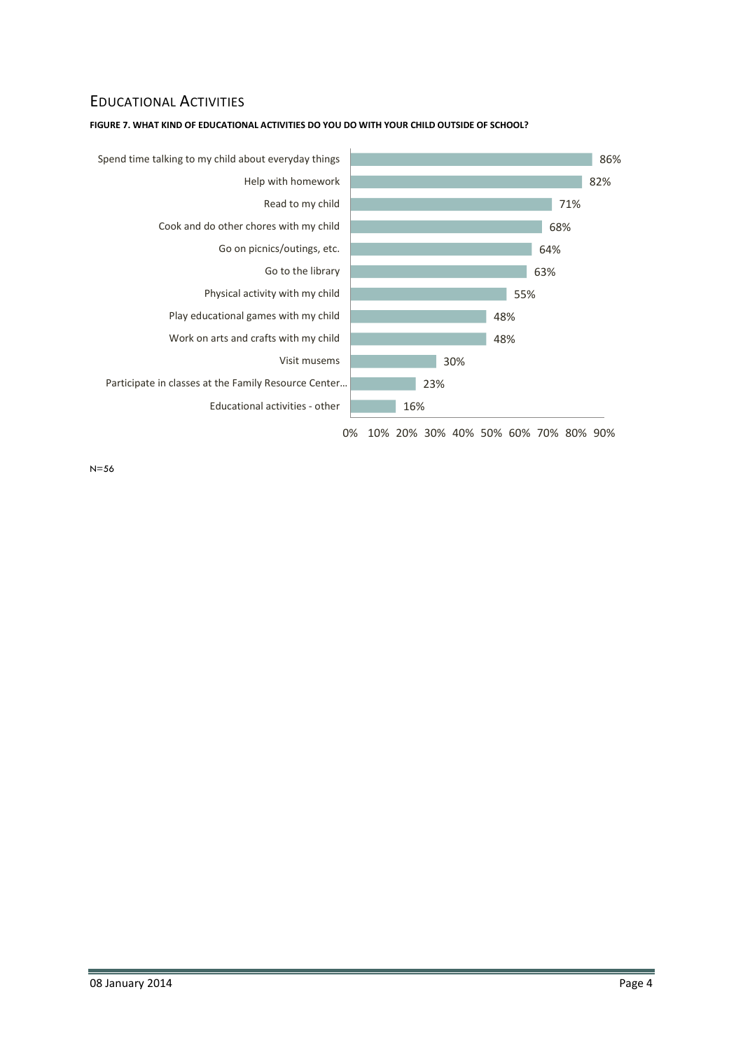# EDUCATIONAL ACTIVITIES



**FIGURE 7. WHAT KIND OF EDUCATIONAL ACTIVITIES DO YOU DO WITH YOUR CHILD OUTSIDE OF SCHOOL?**

N=56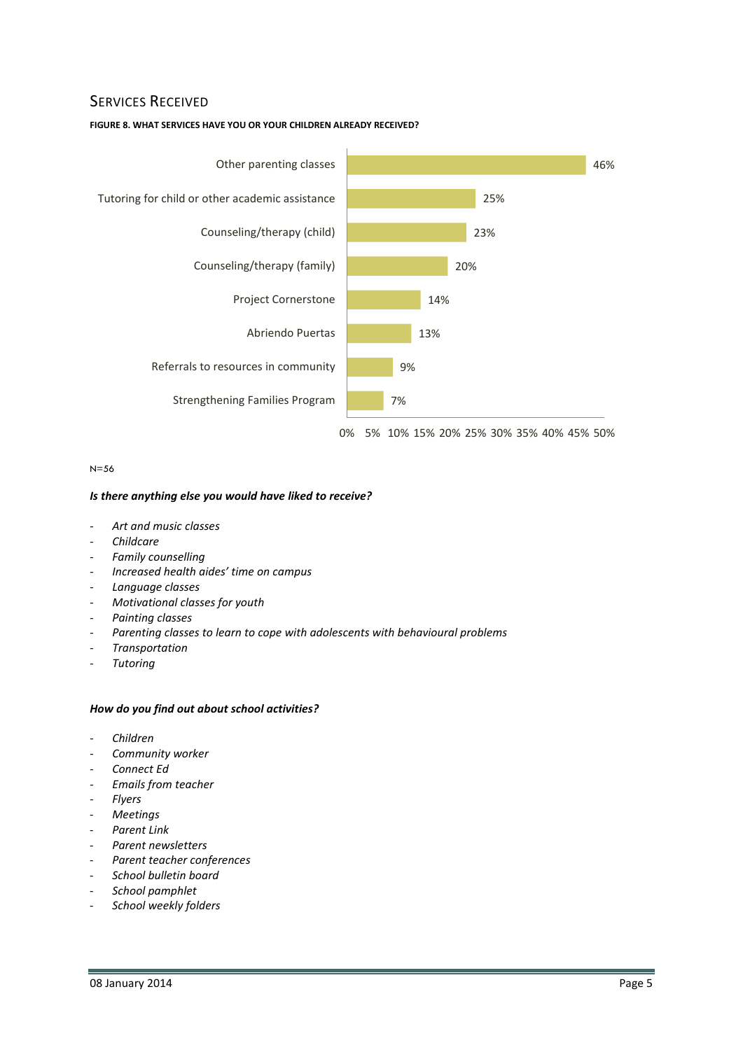## SERVICES RECEIVED

#### **FIGURE 8. WHAT SERVICES HAVE YOU OR YOUR CHILDREN ALREADY RECEIVED?**



N=56

#### *Is there anything else you would have liked to receive?*

- *Art and music classes*
- *Childcare*
- *Family counselling*
- *Increased health aides' time on campus*
- *Language classes*
- *Motivational classes for youth*
- *Painting classes*
- Parenting classes to learn to cope with adolescents with behavioural problems
- *Transportation*
- *Tutoring*

#### *How do you find out about school activities?*

- *Children*
- *Community worker*
- *Connect Ed*
- *Emails from teacher*
- *Flyers*
- *Meetings*
- *Parent Link*
- *Parent newsletters*
- *Parent teacher conferences*
- *School bulletin board*
- *School pamphlet*
- *School weekly folders*